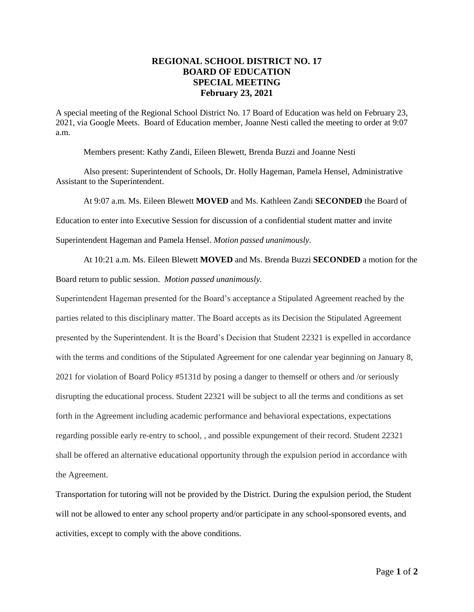## **REGIONAL SCHOOL DISTRICT NO. 17 BOARD OF EDUCATION SPECIAL MEETING February 23, 2021**

A special meeting of the Regional School District No. 17 Board of Education was held on February 23, 2021, via Google Meets. Board of Education member, Joanne Nesti called the meeting to order at 9:07 a.m.

Members present: Kathy Zandi, Eileen Blewett, Brenda Buzzi and Joanne Nesti

Also present: Superintendent of Schools, Dr. Holly Hageman, Pamela Hensel, Administrative Assistant to the Superintendent.

At 9:07 a.m. Ms. Eileen Blewett **MOVED** and Ms. Kathleen Zandi **SECONDED** the Board of

Education to enter into Executive Session for discussion of a confidential student matter and invite

Superintendent Hageman and Pamela Hensel. *Motion passed unanimously.*

At 10:21 a.m. Ms. Eileen Blewett **MOVED** and Ms. Brenda Buzzi **SECONDED** a motion for the Board return to public session. *Motion passed unanimously.*

Superintendent Hageman presented for the Board's acceptance a Stipulated Agreement reached by the parties related to this disciplinary matter. The Board accepts as its Decision the Stipulated Agreement presented by the Superintendent. It is the Board's Decision that Student 22321 is expelled in accordance with the terms and conditions of the Stipulated Agreement for one calendar year beginning on January 8, 2021 for violation of Board Policy #5131d by posing a danger to themself or others and /or seriously disrupting the educational process. Student 22321 will be subject to all the terms and conditions as set forth in the Agreement including academic performance and behavioral expectations, expectations regarding possible early re-entry to school, , and possible expungement of their record. Student 22321 shall be offered an alternative educational opportunity through the expulsion period in accordance with the Agreement.

Transportation for tutoring will not be provided by the District. During the expulsion period, the Student will not be allowed to enter any school property and/or participate in any school-sponsored events, and activities, except to comply with the above conditions.